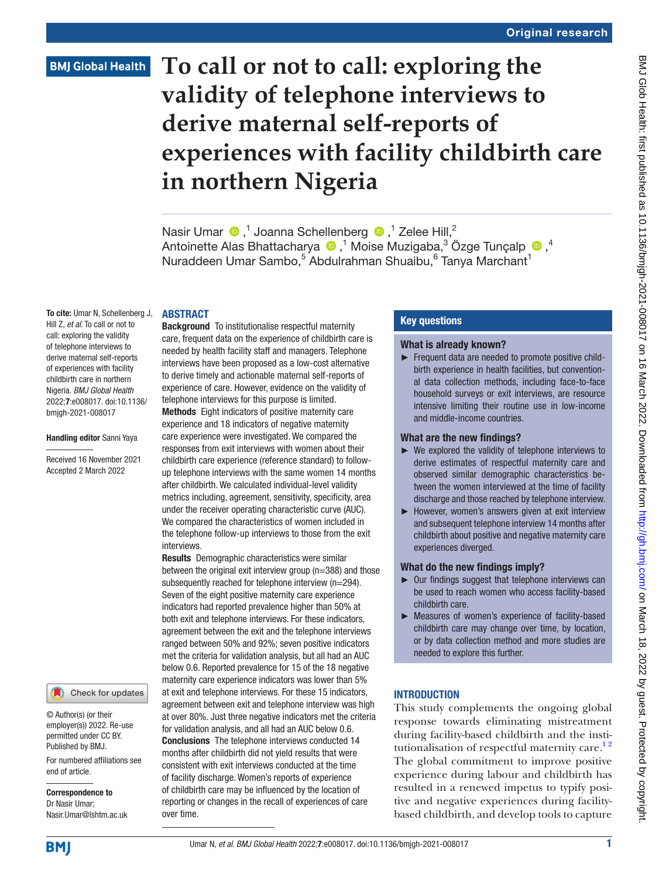# **BMJ Global Health**

# **To call or not to call: exploring the validity of telephone interviews to derive maternal self-reports of experiences with facility childbirth care in northern Nigeria**

Nasir Umar  $\bigcirc$ ,<sup>1</sup> Joanna Schellenberg  $\bigcirc$ ,<sup>1</sup> Zelee Hill,<sup>2</sup> AntoinetteAlas Bhattacharya (D,<sup>1</sup> Moise Muzigaba,<sup>3</sup> Özge Tunçalp (D,<sup>4</sup> Nuraddeen Umar Sambo,<sup>5</sup> Abdulrahman Shuaibu,<sup>6</sup> Tanya Marchant<sup>1</sup>

#### ABSTRACT

To cite: Umar N, Schellenberg J, Hill Z, *et al*. To call or not to call: exploring the validity of telephone interviews to derive maternal self-reports of experiences with facility childbirth care in northern Nigeria. *BMJ Global Health* 2022;7:e008017. doi:10.1136/ bmjgh-2021-008017

#### Handling editor Sanni Yaya

Received 16 November 2021 Accepted 2 March 2022

## Check for updates

© Author(s) (or their employer(s)) 2022. Re-use permitted under CC BY. Published by BMJ.

For numbered affiliations see end of article.

Correspondence to Dr Nasir Umar; Nasir.Umar@lshtm.ac.uk Background To institutionalise respectful maternity care, frequent data on the experience of childbirth care is needed by health facility staff and managers. Telephone interviews have been proposed as a low-cost alternative to derive timely and actionable maternal self-reports of experience of care. However, evidence on the validity of telephone interviews for this purpose is limited. Methods Eight indicators of positive maternity care

experience and 18 indicators of negative maternity care experience were investigated. We compared the responses from exit interviews with women about their childbirth care experience (reference standard) to followup telephone interviews with the same women 14 months after childbirth. We calculated individual-level validity metrics including, agreement, sensitivity, specificity, area under the receiver operating characteristic curve (AUC). We compared the characteristics of women included in the telephone follow-up interviews to those from the exit interviews.

Results Demographic characteristics were similar between the original exit interview group (n=388) and those subsequently reached for telephone interview (n=294). Seven of the eight positive maternity care experience indicators had reported prevalence higher than 50% at both exit and telephone interviews. For these indicators, agreement between the exit and the telephone interviews ranged between 50% and 92%; seven positive indicators met the criteria for validation analysis, but all had an AUC below 0.6. Reported prevalence for 15 of the 18 negative maternity care experience indicators was lower than 5% at exit and telephone interviews. For these 15 indicators, agreement between exit and telephone interview was high at over 80%. Just three negative indicators met the criteria for validation analysis, and all had an AUC below 0.6. Conclusions The telephone interviews conducted 14 months after childbirth did not yield results that were consistent with exit interviews conducted at the time of facility discharge. Women's reports of experience of childbirth care may be influenced by the location of reporting or changes in the recall of experiences of care over time.

## Key questions

#### What is already known?

► Frequent data are needed to promote positive childbirth experience in health facilities, but conventional data collection methods, including face-to-face household surveys or exit interviews, are resource intensive limiting their routine use in low-income and middle-income countries.

#### What are the new findings?

- ► We explored the validity of telephone interviews to derive estimates of respectful maternity care and observed similar demographic characteristics between the women interviewed at the time of facility discharge and those reached by telephone interview.
- ► However, women's answers given at exit interview and subsequent telephone interview 14 months after childbirth about positive and negative maternity care experiences diverged.

#### What do the new findings imply?

- ► Our findings suggest that telephone interviews can be used to reach women who access facility-based childbirth care.
- ► Measures of women's experience of facility-based childbirth care may change over time, by location, or by data collection method and more studies are needed to explore this further.

## **INTRODUCTION**

This study complements the ongoing global response towards eliminating mistreatment during facility-based childbirth and the institutionalisation of respectful maternity care.<sup>12</sup> The global commitment to improve positive experience during labour and childbirth has resulted in a renewed impetus to typify positive and negative experiences during facilitybased childbirth, and develop tools to capture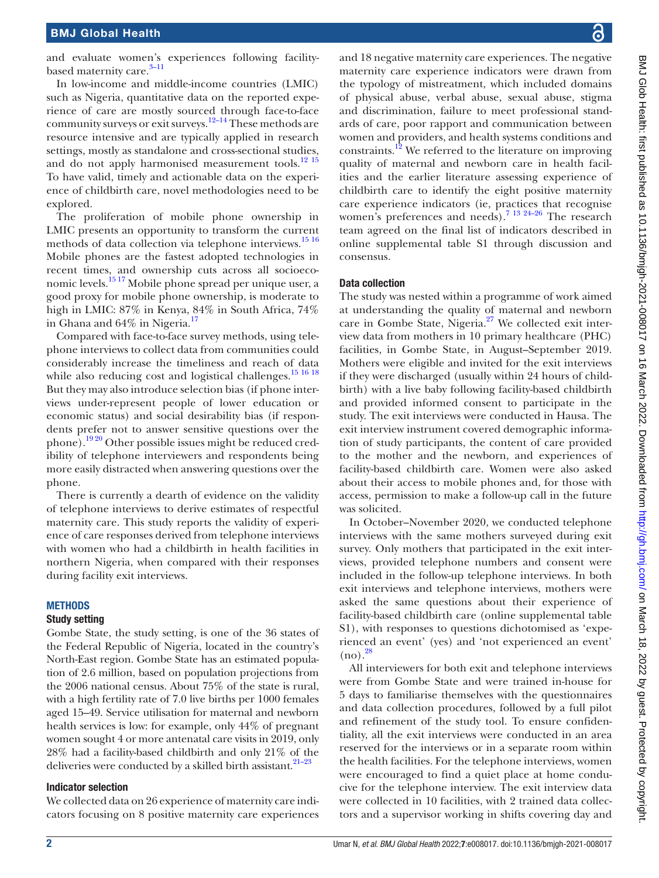and evaluate women's experiences following facilitybased maternity care.<sup>3-11</sup>

In low-income and middle-income countries (LMIC) such as Nigeria, quantitative data on the reported experience of care are mostly sourced through face-to-face community surveys or exit surveys.<sup>12–14</sup> These methods are resource intensive and are typically applied in research settings, mostly as standalone and cross-sectional studies, and do not apply harmonised measurement tools.<sup>12</sup> <sup>15</sup> To have valid, timely and actionable data on the experience of childbirth care, novel methodologies need to be explored.

The proliferation of mobile phone ownership in LMIC presents an opportunity to transform the current methods of data collection via telephone interviews.<sup>[15 16](#page-8-3)</sup> Mobile phones are the fastest adopted technologies in recent times, and ownership cuts across all socioeconomic levels.[15 17](#page-8-3) Mobile phone spread per unique user, a good proxy for mobile phone ownership, is moderate to high in LMIC: 87% in Kenya, 84% in South Africa, 74% in Ghana and 64% in Nigeria.<sup>17</sup>

Compared with face-to-face survey methods, using telephone interviews to collect data from communities could considerably increase the timeliness and reach of data while also reducing cost and logistical challenges.<sup>[15 16 18](#page-8-3)</sup> But they may also introduce selection bias (if phone interviews under-represent people of lower education or economic status) and social desirability bias (if respondents prefer not to answer sensitive questions over the phone).[19 20](#page-8-5) Other possible issues might be reduced credibility of telephone interviewers and respondents being more easily distracted when answering questions over the phone.

There is currently a dearth of evidence on the validity of telephone interviews to derive estimates of respectful maternity care. This study reports the validity of experience of care responses derived from telephone interviews with women who had a childbirth in health facilities in northern Nigeria, when compared with their responses during facility exit interviews.

#### METHODS

#### Study setting

Gombe State, the study setting, is one of the 36 states of the Federal Republic of Nigeria, located in the country's North-East region. Gombe State has an estimated population of 2.6 million, based on population projections from the 2006 national census. About 75% of the state is rural, with a high fertility rate of 7.0 live births per 1000 females aged 15–49. Service utilisation for maternal and newborn health services is low: for example, only 44% of pregnant women sought 4 or more antenatal care visits in 2019, only 28% had a facility-based childbirth and only 21% of the deliveries were conducted by a skilled birth assistant. $21-23$ 

#### Indicator selection

We collected data on 26 experience of maternity care indicators focusing on 8 positive maternity care experiences

and 18 negative maternity care experiences. The negative maternity care experience indicators were drawn from the typology of mistreatment, which included domains of physical abuse, verbal abuse, sexual abuse, stigma and discrimination, failure to meet professional standards of care, poor rapport and communication between women and providers, and health systems conditions and constraints.<sup>12</sup> We referred to the literature on improving quality of maternal and newborn care in health facilities and the earlier literature assessing experience of childbirth care to identify the eight positive maternity care experience indicators (ie, practices that recognise women's preferences and needs).<sup>7</sup>  $^{13}$   $^{24-26}$  The research team agreed on the final list of indicators described in [online supplemental table S1](https://dx.doi.org/10.1136/bmjgh-2021-008017) through discussion and consensus.

#### Data collection

The study was nested within a programme of work aimed at understanding the quality of maternal and newborn care in Gombe State, Nigeria.<sup>27</sup> We collected exit interview data from mothers in 10 primary healthcare (PHC) facilities, in Gombe State, in August–September 2019. Mothers were eligible and invited for the exit interviews if they were discharged (usually within 24 hours of childbirth) with a live baby following facility-based childbirth and provided informed consent to participate in the study. The exit interviews were conducted in Hausa. The exit interview instrument covered demographic information of study participants, the content of care provided to the mother and the newborn, and experiences of facility-based childbirth care. Women were also asked about their access to mobile phones and, for those with access, permission to make a follow-up call in the future was solicited.

In October–November 2020, we conducted telephone interviews with the same mothers surveyed during exit survey. Only mothers that participated in the exit interviews, provided telephone numbers and consent were included in the follow-up telephone interviews. In both exit interviews and telephone interviews, mothers were asked the same questions about their experience of facility-based childbirth care [\(online supplemental table](https://dx.doi.org/10.1136/bmjgh-2021-008017) [S1](https://dx.doi.org/10.1136/bmjgh-2021-008017)), with responses to questions dichotomised as 'experienced an event' (yes) and 'not experienced an event'  $(no)$ <sup>[28](#page-8-9)</sup>

All interviewers for both exit and telephone interviews were from Gombe State and were trained in-house for 5 days to familiarise themselves with the questionnaires and data collection procedures, followed by a full pilot and refinement of the study tool. To ensure confidentiality, all the exit interviews were conducted in an area reserved for the interviews or in a separate room within the health facilities. For the telephone interviews, women were encouraged to find a quiet place at home conducive for the telephone interview. The exit interview data were collected in 10 facilities, with 2 trained data collectors and a supervisor working in shifts covering day and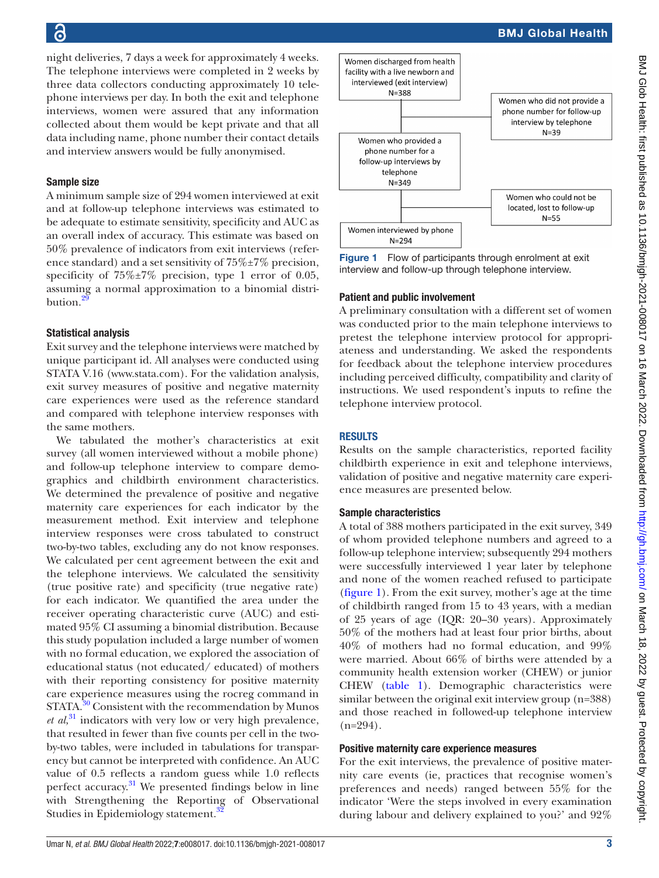night deliveries, 7 days a week for approximately 4 weeks. The telephone interviews were completed in 2 weeks by three data collectors conducting approximately 10 telephone interviews per day. In both the exit and telephone interviews, women were assured that any information collected about them would be kept private and that all data including name, phone number their contact details and interview answers would be fully anonymised.

## Sample size

A minimum sample size of 294 women interviewed at exit and at follow-up telephone interviews was estimated to be adequate to estimate sensitivity, specificity and AUC as an overall index of accuracy. This estimate was based on 50% prevalence of indicators from exit interviews (reference standard) and a set sensitivity of 75%±7% precision, specificity of  $75\% \pm 7\%$  precision, type 1 error of 0.05, assuming a normal approximation to a binomial distri-bution.<sup>[29](#page-8-10)</sup>

### Statistical analysis

Exit survey and the telephone interviews were matched by unique participant id. All analyses were conducted using STATA V.16 ([www.stata.com\)](www.stata.com). For the validation analysis, exit survey measures of positive and negative maternity care experiences were used as the reference standard and compared with telephone interview responses with the same mothers.

We tabulated the mother's characteristics at exit survey (all women interviewed without a mobile phone) and follow-up telephone interview to compare demographics and childbirth environment characteristics. We determined the prevalence of positive and negative maternity care experiences for each indicator by the measurement method. Exit interview and telephone interview responses were cross tabulated to construct two-by-two tables, excluding any do not know responses. We calculated per cent agreement between the exit and the telephone interviews. We calculated the sensitivity (true positive rate) and specificity (true negative rate) for each indicator. We quantified the area under the receiver operating characteristic curve (AUC) and estimated 95% CI assuming a binomial distribution. Because this study population included a large number of women with no formal education, we explored the association of educational status (not educated/ educated) of mothers with their reporting consistency for positive maternity care experience measures using the rocreg command in STATA.<sup>30</sup> Consistent with the recommendation by Munos *et al,*[31](#page-8-12) indicators with very low or very high prevalence, that resulted in fewer than five counts per cell in the twoby-two tables, were included in tabulations for transparency but cannot be interpreted with confidence. An AUC value of 0.5 reflects a random guess while 1.0 reflects perfect accuracy.<sup>31</sup> We presented findings below in line with Strengthening the Reporting of Observational Studies in Epidemiology statement.<sup>3</sup>



<span id="page-2-0"></span>Figure 1 Flow of participants through enrolment at exit interview and follow-up through telephone interview.

#### Patient and public involvement

A preliminary consultation with a different set of women was conducted prior to the main telephone interviews to pretest the telephone interview protocol for appropriateness and understanding. We asked the respondents for feedback about the telephone interview procedures including perceived difficulty, compatibility and clarity of instructions. We used respondent's inputs to refine the telephone interview protocol.

## **RESULTS**

Results on the sample characteristics, reported facility childbirth experience in exit and telephone interviews, validation of positive and negative maternity care experience measures are presented below.

## Sample characteristics

A total of 388 mothers participated in the exit survey, 349 of whom provided telephone numbers and agreed to a follow-up telephone interview; subsequently 294 mothers were successfully interviewed 1 year later by telephone and none of the women reached refused to participate [\(figure](#page-2-0) 1). From the exit survey, mother's age at the time of childbirth ranged from 15 to 43 years, with a median of 25 years of age (IQR: 20–30 years). Approximately 50% of the mothers had at least four prior births, about 40% of mothers had no formal education, and 99% were married. About 66% of births were attended by a community health extension worker (CHEW) or junior CHEW ([table](#page-3-0) 1). Demographic characteristics were similar between the original exit interview group (n=388) and those reached in followed-up telephone interview  $(n=294)$ .

#### Positive maternity care experience measures

For the exit interviews, the prevalence of positive maternity care events (ie, practices that recognise women's preferences and needs) ranged between 55% for the indicator 'Were the steps involved in every examination during labour and delivery explained to you?' and 92%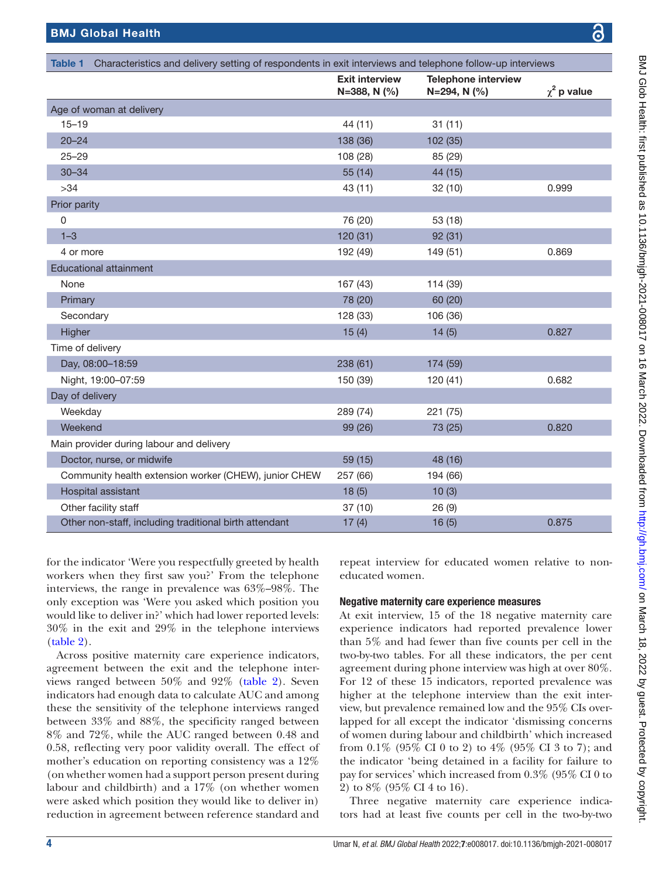<span id="page-3-0"></span>

| Characteristics and delivery setting of respondents in exit interviews and telephone follow-up interviews<br>Table 1 |                                       |                                            |                  |  |  |  |  |  |
|----------------------------------------------------------------------------------------------------------------------|---------------------------------------|--------------------------------------------|------------------|--|--|--|--|--|
|                                                                                                                      | <b>Exit interview</b><br>N=388, N (%) | <b>Telephone interview</b><br>N=294, N (%) | $\chi^2$ p value |  |  |  |  |  |
| Age of woman at delivery                                                                                             |                                       |                                            |                  |  |  |  |  |  |
| $15 - 19$                                                                                                            | 44 (11)                               | 31(11)                                     |                  |  |  |  |  |  |
| $20 - 24$                                                                                                            | 138 (36)                              | 102 (35)                                   |                  |  |  |  |  |  |
| $25 - 29$                                                                                                            | 108 (28)                              | 85 (29)                                    |                  |  |  |  |  |  |
| $30 - 34$                                                                                                            | 55(14)                                | 44 (15)                                    |                  |  |  |  |  |  |
| >34                                                                                                                  | 43 (11)                               | 32(10)                                     | 0.999            |  |  |  |  |  |
| Prior parity                                                                                                         |                                       |                                            |                  |  |  |  |  |  |
| 0                                                                                                                    | 76 (20)                               | 53 (18)                                    |                  |  |  |  |  |  |
| $1 - 3$                                                                                                              | 120(31)                               | 92(31)                                     |                  |  |  |  |  |  |
| 4 or more                                                                                                            | 192 (49)                              | 149 (51)                                   | 0.869            |  |  |  |  |  |
| <b>Educational attainment</b>                                                                                        |                                       |                                            |                  |  |  |  |  |  |
| None                                                                                                                 | 167 (43)                              | 114 (39)                                   |                  |  |  |  |  |  |
| Primary                                                                                                              | 78 (20)                               | 60 (20)                                    |                  |  |  |  |  |  |
| Secondary                                                                                                            | 128 (33)                              | 106 (36)                                   |                  |  |  |  |  |  |
| Higher                                                                                                               | 15(4)                                 | 14(5)                                      | 0.827            |  |  |  |  |  |
| Time of delivery                                                                                                     |                                       |                                            |                  |  |  |  |  |  |
| Day, 08:00-18:59                                                                                                     | 238 (61)                              | 174 (59)                                   |                  |  |  |  |  |  |
| Night, 19:00-07:59                                                                                                   | 150 (39)                              | 120(41)                                    | 0.682            |  |  |  |  |  |
| Day of delivery                                                                                                      |                                       |                                            |                  |  |  |  |  |  |
| Weekday                                                                                                              | 289 (74)                              | 221 (75)                                   |                  |  |  |  |  |  |
| Weekend                                                                                                              | 99 (26)                               | 73 (25)                                    | 0.820            |  |  |  |  |  |
| Main provider during labour and delivery                                                                             |                                       |                                            |                  |  |  |  |  |  |
| Doctor, nurse, or midwife                                                                                            | 59 (15)                               | 48 (16)                                    |                  |  |  |  |  |  |
| Community health extension worker (CHEW), junior CHEW                                                                | 257 (66)                              | 194 (66)                                   |                  |  |  |  |  |  |
| Hospital assistant                                                                                                   | 18(5)                                 | 10(3)                                      |                  |  |  |  |  |  |
| Other facility staff                                                                                                 | 37(10)                                | 26(9)                                      |                  |  |  |  |  |  |
| Other non-staff, including traditional birth attendant                                                               | 17(4)                                 | 16(5)                                      | 0.875            |  |  |  |  |  |

for the indicator 'Were you respectfully greeted by health workers when they first saw you?' From the telephone interviews, the range in prevalence was 63%–98%. The only exception was 'Were you asked which position you would like to deliver in?' which had lower reported levels: 30% in the exit and 29% in the telephone interviews ([table](#page-4-0) 2).

Across positive maternity care experience indicators, agreement between the exit and the telephone interviews ranged between 50% and 92% ([table](#page-4-0) 2). Seven indicators had enough data to calculate AUC and among these the sensitivity of the telephone interviews ranged between 33% and 88%, the specificity ranged between 8% and 72%, while the AUC ranged between 0.48 and 0.58, reflecting very poor validity overall. The effect of mother's education on reporting consistency was a 12% (on whether women had a support person present during labour and childbirth) and a 17% (on whether women were asked which position they would like to deliver in) reduction in agreement between reference standard and

repeat interview for educated women relative to noneducated women.

## Negative maternity care experience measures

At exit interview, 15 of the 18 negative maternity care experience indicators had reported prevalence lower than 5% and had fewer than five counts per cell in the two-by-two tables. For all these indicators, the per cent agreement during phone interview was high at over 80%. For 12 of these 15 indicators, reported prevalence was higher at the telephone interview than the exit interview, but prevalence remained low and the 95% CIs overlapped for all except the indicator 'dismissing concerns of women during labour and childbirth' which increased from 0.1% (95% CI 0 to 2) to 4% (95% CI 3 to 7); and the indicator 'being detained in a facility for failure to pay for services' which increased from 0.3% (95% CI 0 to 2) to 8% (95% CI 4 to 16).

Three negative maternity care experience indicators had at least five counts per cell in the two-by-two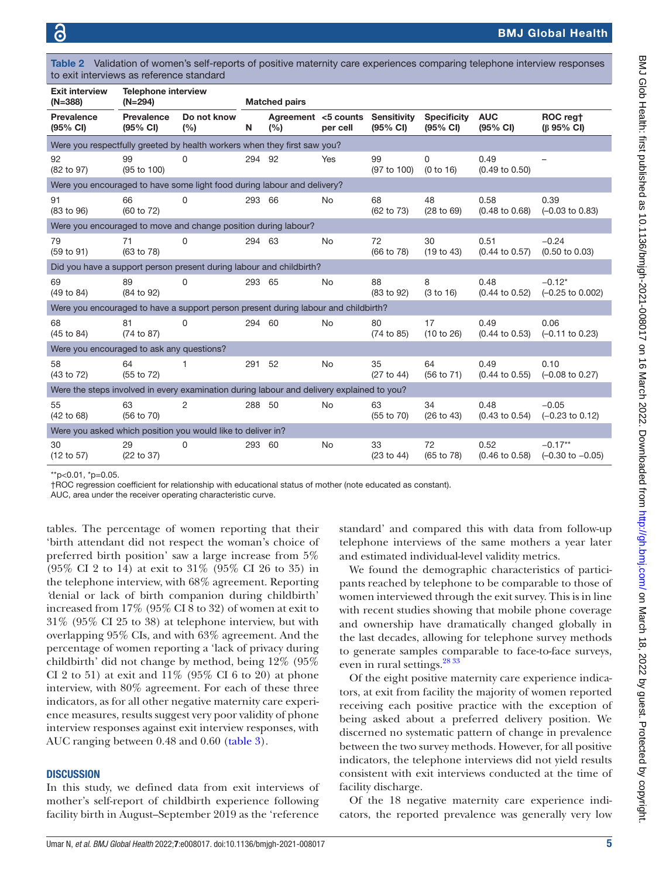<span id="page-4-0"></span>Table 2 Validation of women's self-reports of positive maternity care experiences comparing telephone interview responses to exit interviews as reference standard

| <b>Exit interview</b><br>$(N=388)$                                                        | <b>Telephone interview</b><br>$(N=294)$                             |                    |     | <b>Matched pairs</b>       |           |                                          |                                           |                                   |                                              |  |
|-------------------------------------------------------------------------------------------|---------------------------------------------------------------------|--------------------|-----|----------------------------|-----------|------------------------------------------|-------------------------------------------|-----------------------------------|----------------------------------------------|--|
| <b>Prevalence</b><br>(95% CI)                                                             | Prevalence<br>(95% CI)                                              | Do not know<br>(%) | N   | Agreement <5 counts<br>(%) | per cell  | <b>Sensitivity</b><br>$(95% \text{ Cl})$ | <b>Specificity</b><br>$(95\% \text{ Cl})$ | <b>AUC</b><br>(95% CI)            | <b>ROC</b> reat<br>$(\beta 95\% \text{ Cl})$ |  |
| Were you respectfully greeted by health workers when they first saw you?                  |                                                                     |                    |     |                            |           |                                          |                                           |                                   |                                              |  |
| 92<br>(82 to 97)                                                                          | 99<br>(95 to 100)                                                   | $\Omega$           | 294 | 92                         | Yes       | 99<br>(97 to 100)                        | $\Omega$<br>(0 to 16)                     | 0.49<br>$(0.49 \text{ to } 0.50)$ |                                              |  |
| Were you encouraged to have some light food during labour and delivery?                   |                                                                     |                    |     |                            |           |                                          |                                           |                                   |                                              |  |
| 91<br>(83 to 96)                                                                          | 66<br>(60 to 72)                                                    | $\mathbf 0$        | 293 | 66                         | No        | 68<br>(62 to 73)                         | 48<br>(28 to 69)                          | 0.58<br>$(0.48 \text{ to } 0.68)$ | 0.39<br>$(-0.03 \text{ to } 0.83)$           |  |
| Were you encouraged to move and change position during labour?                            |                                                                     |                    |     |                            |           |                                          |                                           |                                   |                                              |  |
| 79<br>(59 to 91)                                                                          | 71<br>(63 to 78)                                                    | $\Omega$           | 294 | 63                         | No        | 72<br>(66 to 78)                         | 30<br>(19 to 43)                          | 0.51<br>$(0.44 \text{ to } 0.57)$ | $-0.24$<br>$(0.50 \text{ to } 0.03)$         |  |
|                                                                                           | Did you have a support person present during labour and childbirth? |                    |     |                            |           |                                          |                                           |                                   |                                              |  |
| 69<br>(49 to 84)                                                                          | 89<br>(84 to 92)                                                    | $\mathbf 0$        | 293 | 65                         | No        | 88<br>(83 to 92)                         | 8<br>(3 to 16)                            | 0.48<br>$(0.44 \text{ to } 0.52)$ | $-0.12*$<br>$(-0.25 \text{ to } 0.002)$      |  |
| Were you encouraged to have a support person present during labour and childbirth?        |                                                                     |                    |     |                            |           |                                          |                                           |                                   |                                              |  |
| 68<br>(45 to 84)                                                                          | 81<br>(74 to 87)                                                    | $\Omega$           | 294 | 60                         | No        | 80<br>(74 to 85)                         | 17<br>(10 to 26)                          | 0.49<br>$(0.44 \text{ to } 0.53)$ | 0.06<br>$(-0.11$ to 0.23)                    |  |
| Were you encouraged to ask any questions?                                                 |                                                                     |                    |     |                            |           |                                          |                                           |                                   |                                              |  |
| 58<br>(43 to 72)                                                                          | 64<br>(55 to 72)                                                    | $\mathbf{1}$       | 291 | 52                         | <b>No</b> | 35<br>(27 to 44)                         | 64<br>(56 to 71)                          | 0.49<br>$(0.44 \text{ to } 0.55)$ | 0.10<br>$(-0.08 \text{ to } 0.27)$           |  |
| Were the steps involved in every examination during labour and delivery explained to you? |                                                                     |                    |     |                            |           |                                          |                                           |                                   |                                              |  |
| 55<br>(42 to 68)                                                                          | 63<br>(56 to 70)                                                    | 2                  | 288 | 50                         | <b>No</b> | 63<br>(55 to 70)                         | 34<br>(26 to 43)                          | 0.48<br>$(0.43 \text{ to } 0.54)$ | $-0.05$<br>$(-0.23 \text{ to } 0.12)$        |  |
| Were you asked which position you would like to deliver in?                               |                                                                     |                    |     |                            |           |                                          |                                           |                                   |                                              |  |
| 30<br>(12 to 57)                                                                          | 29<br>(22 to 37)                                                    | 0                  | 293 | 60                         | <b>No</b> | 33<br>(23 to 44)                         | 72<br>(65 to 78)                          | 0.52<br>$(0.46 \text{ to } 0.58)$ | $-0.17**$<br>$(-0.30 \text{ to } -0.05)$     |  |

 $*$ p<0.01,  $*$ p=0.05.

†ROC regression coefficient for relationship with educational status of mother (note educated as constant).

AUC, area under the receiver operating characteristic curve.

tables. The percentage of women reporting that their 'birth attendant did not respect the woman's choice of preferred birth position' saw a large increase from 5% (95% CI 2 to 14) at exit to 31% (95% CI 26 to 35) in the telephone interview, with 68% agreement. Reporting *'*denial or lack of birth companion during childbirth' increased from 17% (95% CI 8 to 32) of women at exit to 31% (95% CI 25 to 38) at telephone interview, but with overlapping 95% CIs, and with 63% agreement. And the percentage of women reporting a 'lack of privacy during childbirth' did not change by method, being 12% (95% CI 2 to 51) at exit and  $11\%$  (95% CI 6 to 20) at phone interview, with 80% agreement. For each of these three indicators, as for all other negative maternity care experience measures, results suggest very poor validity of phone interview responses against exit interview responses, with AUC ranging between 0.48 and 0.60 [\(table](#page-5-0) 3).

#### **DISCUSSION**

In this study, we defined data from exit interviews of mother's self-report of childbirth experience following facility birth in August–September 2019 as the 'reference

standard' and compared this with data from follow-up telephone interviews of the same mothers a year later and estimated individual-level validity metrics.

We found the demographic characteristics of participants reached by telephone to be comparable to those of women interviewed through the exit survey. This is in line with recent studies showing that mobile phone coverage and ownership have dramatically changed globally in the last decades, allowing for telephone survey methods to generate samples comparable to face-to-face surveys, even in rural settings.<sup>28 33</sup>

Of the eight positive maternity care experience indicators, at exit from facility the majority of women reported receiving each positive practice with the exception of being asked about a preferred delivery position. We discerned no systematic pattern of change in prevalence between the two survey methods. However, for all positive indicators, the telephone interviews did not yield results consistent with exit interviews conducted at the time of facility discharge.

Of the 18 negative maternity care experience indicators, the reported prevalence was generally very low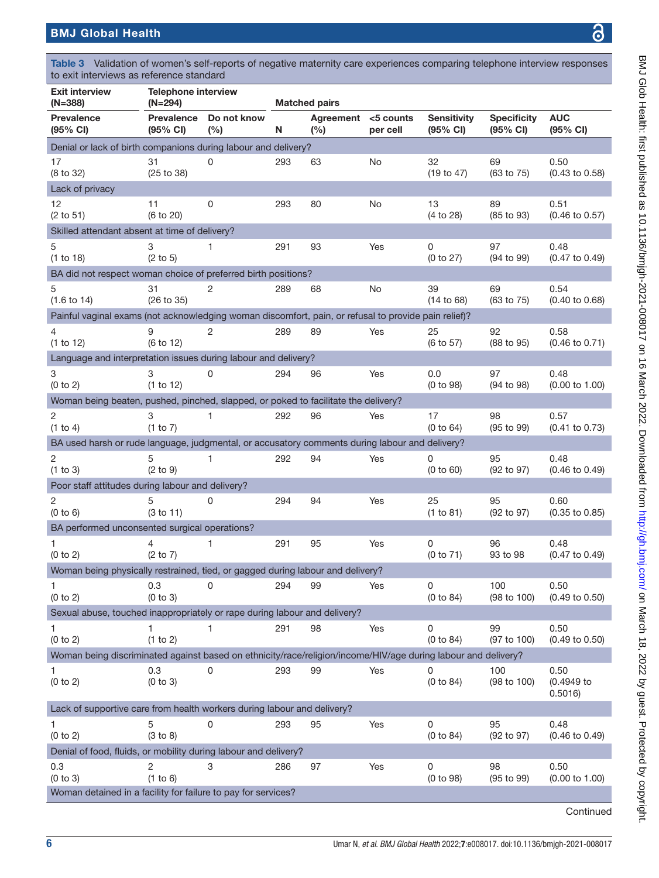<span id="page-5-0"></span>

| Table 3 Validation of women's self-reports of negative maternity care experiences comparing telephone interview responses<br>to exit interviews as reference standard |                                         |                    |     |                  |                       |                                |                                  |                                   |  |  |  |
|-----------------------------------------------------------------------------------------------------------------------------------------------------------------------|-----------------------------------------|--------------------|-----|------------------|-----------------------|--------------------------------|----------------------------------|-----------------------------------|--|--|--|
| <b>Exit interview</b><br>$(N=388)$                                                                                                                                    | <b>Telephone interview</b><br>$(N=294)$ |                    |     |                  | <b>Matched pairs</b>  |                                |                                  |                                   |  |  |  |
| <b>Prevalence</b><br>(95% CI)                                                                                                                                         | <b>Prevalence</b><br>(95% CI)           | Do not know<br>(%) | N   | Agreement<br>(%) | <5 counts<br>per cell | <b>Sensitivity</b><br>(95% CI) | <b>Specificity</b><br>$(95%$ CI) | <b>AUC</b><br>(95% CI)            |  |  |  |
| Denial or lack of birth companions during labour and delivery?                                                                                                        |                                         |                    |     |                  |                       |                                |                                  |                                   |  |  |  |
| 17<br>(8 to 32)                                                                                                                                                       | 31<br>(25 to 38)                        | 0                  | 293 | 63               | No                    | 32<br>(19 to 47)               | 69<br>(63 to 75)                 | 0.50<br>(0.43 to 0.58)            |  |  |  |
| Lack of privacy                                                                                                                                                       |                                         |                    |     |                  |                       |                                |                                  |                                   |  |  |  |
| 12<br>(2 to 51)                                                                                                                                                       | 11<br>(6 to 20)                         | 0                  | 293 | 80               | No                    | 13<br>(4 to 28)                | 89<br>(85 to 93)                 | 0.51<br>$(0.46 \text{ to } 0.57)$ |  |  |  |
| Skilled attendant absent at time of delivery?                                                                                                                         |                                         |                    |     |                  |                       |                                |                                  |                                   |  |  |  |
| 5<br>(1 to 18)                                                                                                                                                        | 3<br>$(2 \text{ to } 5)$                | 1                  | 291 | 93               | Yes                   | 0<br>(0 to 27)                 | 97<br>(94 to 99)                 | 0.48<br>$(0.47 \text{ to } 0.49)$ |  |  |  |
| BA did not respect woman choice of preferred birth positions?                                                                                                         |                                         |                    |     |                  |                       |                                |                                  |                                   |  |  |  |
| 5<br>$(1.6 \text{ to } 14)$                                                                                                                                           | 31<br>(26 to 35)                        | 2                  | 289 | 68               | No                    | 39<br>(14 to 68)               | 69<br>(63 to 75)                 | 0.54<br>$(0.40 \text{ to } 0.68)$ |  |  |  |
| Painful vaginal exams (not acknowledging woman discomfort, pain, or refusal to provide pain relief)?                                                                  |                                         |                    |     |                  |                       |                                |                                  |                                   |  |  |  |
| 4<br>(1 to 12)                                                                                                                                                        | 9<br>(6 to 12)                          | 2                  | 289 | 89               | Yes                   | 25<br>(6 to 57)                | 92<br>(88 to 95)                 | 0.58<br>(0.46 to 0.71)            |  |  |  |
| Language and interpretation issues during labour and delivery?                                                                                                        |                                         |                    |     |                  |                       |                                |                                  |                                   |  |  |  |
| 3<br>(0 to 2)                                                                                                                                                         | 3<br>(1 to 12)                          | 0                  | 294 | 96               | Yes                   | 0.0<br>(0 to 98)               | 97<br>(94 to 98)                 | 0.48<br>$(0.00 \text{ to } 1.00)$ |  |  |  |
| Woman being beaten, pushed, pinched, slapped, or poked to facilitate the delivery?                                                                                    |                                         |                    |     |                  |                       |                                |                                  |                                   |  |  |  |
| 2<br>(1 to 4)                                                                                                                                                         | 3<br>(1 to 7)                           | 1                  | 292 | 96               | Yes                   | 17<br>(0 to 64)                | 98<br>(95 to 99)                 | 0.57<br>$(0.41$ to $0.73)$        |  |  |  |
| BA used harsh or rude language, judgmental, or accusatory comments during labour and delivery?                                                                        |                                         |                    |     |                  |                       |                                |                                  |                                   |  |  |  |
| 2<br>(1 to 3)                                                                                                                                                         | 5<br>(2 to 9)                           | 1                  | 292 | 94               | Yes                   | 0<br>(0 to 60)                 | 95<br>(92 to 97)                 | 0.48<br>$(0.46 \text{ to } 0.49)$ |  |  |  |
| Poor staff attitudes during labour and delivery?                                                                                                                      |                                         |                    |     |                  |                       |                                |                                  |                                   |  |  |  |
| 2<br>(0 to 6)                                                                                                                                                         | 5<br>(3 to 11)                          | 0                  | 294 | 94               | Yes                   | 25<br>(1 to 81)                | 95<br>(92 to 97)                 | 0.60<br>$(0.35 \text{ to } 0.85)$ |  |  |  |
| BA performed unconsented surgical operations?                                                                                                                         |                                         |                    |     |                  |                       |                                |                                  |                                   |  |  |  |
| 1<br>(0 to 2)                                                                                                                                                         | 4<br>(2 to 7)                           | 1                  | 291 | 95               | Yes                   | 0<br>(0 to 71)                 | 96<br>93 to 98                   | 0.48<br>(0.47 to 0.49)            |  |  |  |
| Woman being physically restrained, tied, or gagged during labour and delivery?                                                                                        |                                         |                    |     |                  |                       |                                |                                  |                                   |  |  |  |
| 1<br>(0 to 2)                                                                                                                                                         | 0.3<br>(0 to 3)                         | 0                  | 294 | 99               | Yes                   | $\mathbf 0$<br>(0 to 84)       | 100<br>(98 to 100)               | 0.50<br>$(0.49 \text{ to } 0.50)$ |  |  |  |
| Sexual abuse, touched inappropriately or rape during labour and delivery?                                                                                             |                                         |                    |     |                  |                       |                                |                                  |                                   |  |  |  |
| 1<br>(0 to 2)                                                                                                                                                         | (1 to 2)                                |                    | 291 | 98               | Yes                   | $\mathbf 0$<br>(0 to 84)       | 99<br>(97 to 100)                | 0.50<br>$(0.49 \text{ to } 0.50)$ |  |  |  |
| Woman being discriminated against based on ethnicity/race/religion/income/HIV/age during labour and delivery?                                                         |                                         |                    |     |                  |                       |                                |                                  |                                   |  |  |  |
| 1<br>(0 to 2)                                                                                                                                                         | 0.3<br>(0 to 3)                         | 0                  | 293 | 99               | Yes                   | 0<br>(0 to 84)                 | 100<br>(98 to 100)               | 0.50<br>(0.4949 to<br>0.5016      |  |  |  |
| Lack of supportive care from health workers during labour and delivery?                                                                                               |                                         |                    |     |                  |                       |                                |                                  |                                   |  |  |  |
| 1<br>(0 to 2)                                                                                                                                                         | 5<br>(3 to 8)                           | 0                  | 293 | 95               | Yes                   | $\mathbf 0$<br>(0 to 84)       | 95<br>(92 to 97)                 | 0.48<br>$(0.46 \text{ to } 0.49)$ |  |  |  |
| Denial of food, fluids, or mobility during labour and delivery?                                                                                                       |                                         |                    |     |                  |                       |                                |                                  |                                   |  |  |  |
| 0.3<br>(0 to 3)                                                                                                                                                       | 2<br>(1 to 6)                           | 3                  | 286 | 97               | Yes                   | 0<br>(0 to 98)                 | 98<br>(95 to 99)                 | 0.50<br>$(0.00 \text{ to } 1.00)$ |  |  |  |
| Woman detained in a facility for failure to pay for services?                                                                                                         |                                         |                    |     |                  |                       |                                |                                  |                                   |  |  |  |
|                                                                                                                                                                       |                                         |                    |     |                  |                       |                                |                                  | Continued                         |  |  |  |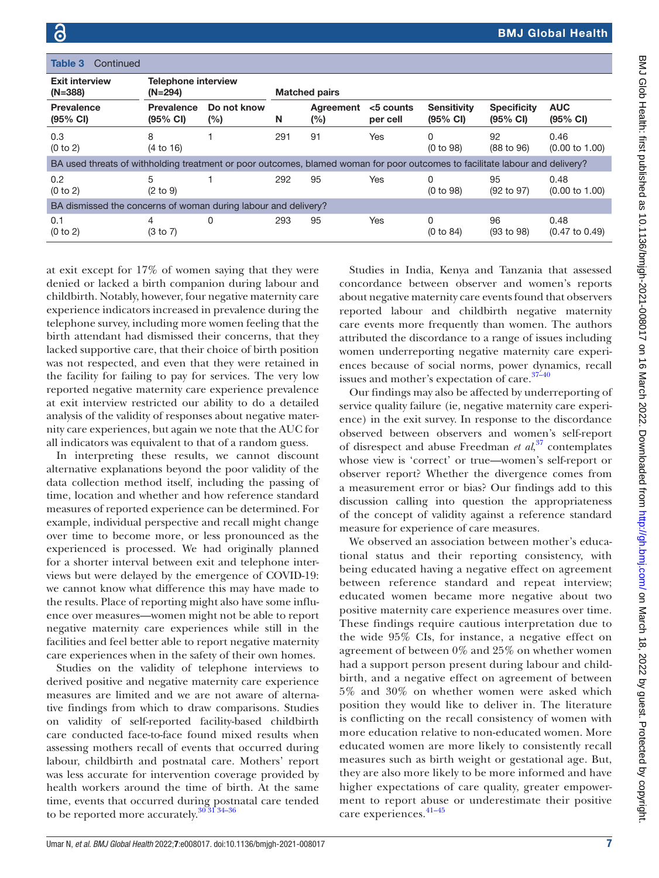| Table 3<br>Continued                                                                                                         |                                         |                       |                      |                  |                       |                                          |                                          |                                   |  |  |
|------------------------------------------------------------------------------------------------------------------------------|-----------------------------------------|-----------------------|----------------------|------------------|-----------------------|------------------------------------------|------------------------------------------|-----------------------------------|--|--|
| <b>Exit interview</b><br>$(N=388)$                                                                                           | <b>Telephone interview</b><br>$(N=294)$ |                       | <b>Matched pairs</b> |                  |                       |                                          |                                          |                                   |  |  |
| <b>Prevalence</b><br>(95% CI)                                                                                                | <b>Prevalence</b><br>$(95% \text{ Cl})$ | Do not know<br>$(\%)$ | N                    | Agreement<br>(%) | <5 counts<br>per cell | <b>Sensitivity</b><br>$(95% \text{ Cl})$ | <b>Specificity</b><br>$(95% \text{ Cl})$ | <b>AUC</b><br>(95% CI)            |  |  |
| 0.3<br>(0 to 2)                                                                                                              | 8<br>(4 to 16)                          |                       | 291                  | 91               | Yes                   | 0<br>(0 to 98)                           | 92<br>(88 to 96)                         | 0.46<br>$(0.00 \text{ to } 1.00)$ |  |  |
| BA used threats of withholding treatment or poor outcomes, blamed woman for poor outcomes to facilitate labour and delivery? |                                         |                       |                      |                  |                       |                                          |                                          |                                   |  |  |
| 0.2<br>(0 to 2)                                                                                                              | 5<br>$(2 \text{ to } 9)$                |                       | 292                  | 95               | Yes                   | $\Omega$<br>(0 to 98)                    | 95<br>(92 to 97)                         | 0.48<br>$(0.00 \text{ to } 1.00)$ |  |  |
| BA dismissed the concerns of woman during labour and delivery?                                                               |                                         |                       |                      |                  |                       |                                          |                                          |                                   |  |  |
| 0.1<br>(0 to 2)                                                                                                              | 4<br>(3 to 7)                           | 0                     | 293                  | 95               | <b>Yes</b>            | $\Omega$<br>(0 to 84)                    | 96<br>(93 to 98)                         | 0.48<br>$(0.47 \text{ to } 0.49)$ |  |  |

at exit except for 17% of women saying that they were denied or lacked a birth companion during labour and childbirth. Notably, however, four negative maternity care experience indicators increased in prevalence during the telephone survey, including more women feeling that the birth attendant had dismissed their concerns, that they lacked supportive care, that their choice of birth position was not respected, and even that they were retained in the facility for failing to pay for services. The very low reported negative maternity care experience prevalence at exit interview restricted our ability to do a detailed analysis of the validity of responses about negative maternity care experiences, but again we note that the AUC for all indicators was equivalent to that of a random guess.

In interpreting these results, we cannot discount alternative explanations beyond the poor validity of the data collection method itself, including the passing of time, location and whether and how reference standard measures of reported experience can be determined. For example, individual perspective and recall might change over time to become more, or less pronounced as the experienced is processed. We had originally planned for a shorter interval between exit and telephone interviews but were delayed by the emergence of COVID-19: we cannot know what difference this may have made to the results. Place of reporting might also have some influence over measures—women might not be able to report negative maternity care experiences while still in the facilities and feel better able to report negative maternity care experiences when in the safety of their own homes.

Studies on the validity of telephone interviews to derived positive and negative maternity care experience measures are limited and we are not aware of alternative findings from which to draw comparisons. Studies on validity of self-reported facility-based childbirth care conducted face-to-face found mixed results when assessing mothers recall of events that occurred during labour, childbirth and postnatal care. Mothers' report was less accurate for intervention coverage provided by health workers around the time of birth. At the same time, events that occurred during postnatal care tended to be reported more accurately. $30\frac{3134-36}{3134-36}$ 

Studies in India, Kenya and Tanzania that assessed concordance between observer and women's reports about negative maternity care events found that observers reported labour and childbirth negative maternity care events more frequently than women. The authors attributed the discordance to a range of issues including women underreporting negative maternity care experiences because of social norms, power dynamics, recall issues and mother's expectation of care. $37-40$ 

Our findings may also be affected by underreporting of service quality failure (ie, negative maternity care experience) in the exit survey. In response to the discordance observed between observers and women's self-report of disrespect and abuse Freedman *et al*, [37](#page-8-14) contemplates whose view is 'correct' or true—women's self-report or observer report? Whether the divergence comes from a measurement error or bias? Our findings add to this discussion calling into question the appropriateness of the concept of validity against a reference standard measure for experience of care measures.

We observed an association between mother's educational status and their reporting consistency, with being educated having a negative effect on agreement between reference standard and repeat interview; educated women became more negative about two positive maternity care experience measures over time. These findings require cautious interpretation due to the wide 95% CIs, for instance, a negative effect on agreement of between 0% and 25% on whether women had a support person present during labour and childbirth, and a negative effect on agreement of between 5% and 30% on whether women were asked which position they would like to deliver in. The literature is conflicting on the recall consistency of women with more education relative to non-educated women. More educated women are more likely to consistently recall measures such as birth weight or gestational age. But, they are also more likely to be more informed and have higher expectations of care quality, greater empowerment to report abuse or underestimate their positive care experiences.  $41-45$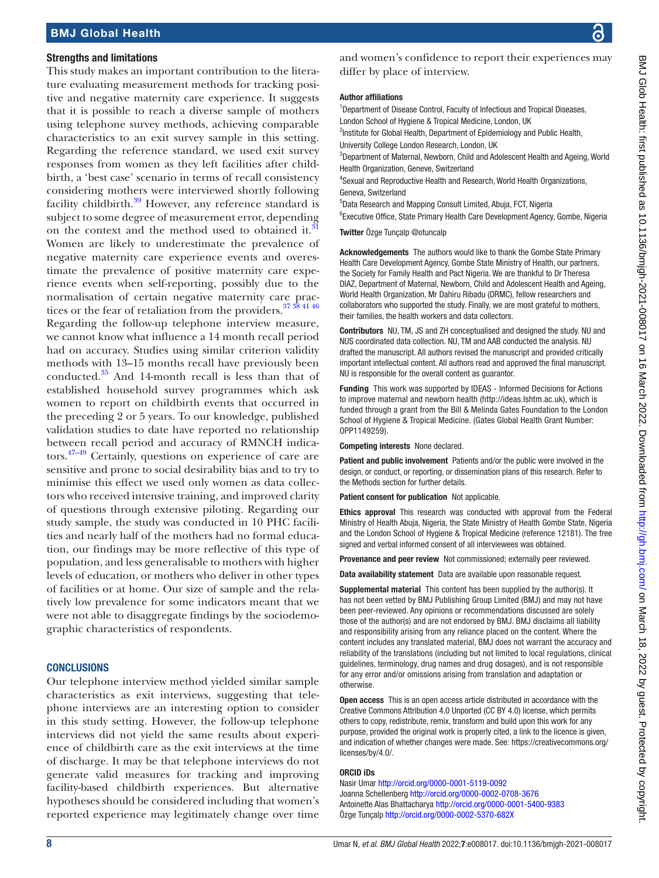## BMJ Global Health

#### Strengths and limitations

This study makes an important contribution to the literature evaluating measurement methods for tracking positive and negative maternity care experience. It suggests that it is possible to reach a diverse sample of mothers using telephone survey methods, achieving comparable characteristics to an exit survey sample in this setting. Regarding the reference standard, we used exit survey responses from women as they left facilities after childbirth, a 'best case' scenario in terms of recall consistency considering mothers were interviewed shortly following facility childbirth. $39$  However, any reference standard is subject to some degree of measurement error, depending on the context and the method used to obtained it.<sup>[31](#page-8-12)</sup> Women are likely to underestimate the prevalence of negative maternity care experience events and overestimate the prevalence of positive maternity care experience events when self-reporting, possibly due to the normalisation of certain negative maternity care practices or the fear of retaliation from the providers.[37 38 41 46](#page-8-14)

Regarding the follow-up telephone interview measure, we cannot know what influence a 14 month recall period had on accuracy. Studies using similar criterion validity methods with 13–15 months recall have previously been conducted.[35](#page-8-17) And 14-month recall is less than that of established household survey programmes which ask women to report on childbirth events that occurred in the preceding 2 or 5 years. To our knowledge, published validation studies to date have reported no relationship between recall period and accuracy of RMNCH indicators.[47–49](#page-8-18) Certainly, questions on experience of care are sensitive and prone to social desirability bias and to try to minimise this effect we used only women as data collectors who received intensive training, and improved clarity of questions through extensive piloting. Regarding our study sample, the study was conducted in 10 PHC facilities and nearly half of the mothers had no formal education, our findings may be more reflective of this type of population, and less generalisable to mothers with higher levels of education, or mothers who deliver in other types of facilities or at home. Our size of sample and the relatively low prevalence for some indicators meant that we were not able to disaggregate findings by the sociodemographic characteristics of respondents.

#### **CONCLUSIONS**

Our telephone interview method yielded similar sample characteristics as exit interviews, suggesting that telephone interviews are an interesting option to consider in this study setting. However, the follow-up telephone interviews did not yield the same results about experience of childbirth care as the exit interviews at the time of discharge. It may be that telephone interviews do not generate valid measures for tracking and improving facility-based childbirth experiences. But alternative hypotheses should be considered including that women's reported experience may legitimately change over time

and women's confidence to report their experiences may differ by place of interview.

#### Author affiliations

<sup>1</sup>Department of Disease Control, Faculty of Infectious and Tropical Diseases, London School of Hygiene & Tropical Medicine, London, UK <sup>2</sup>Institute for Global Health, Department of Epidemiology and Public Health, University College London Research, London, UK <sup>3</sup>Department of Maternal, Newborn, Child and Adolescent Health and Ageing, World Health Organization, Geneve, Switzerland 4 Sexual and Reproductive Health and Research, World Health Organizations, Geneva, Switzerland

5 Data Research and Mapping Consult Limited, Abuja, FCT, Nigeria

<sup>6</sup> Executive Office, State Primary Health Care Development Agency, Gombe, Nigeria

Twitter Özge Tuncalp [@otuncalp](https://twitter.com/otuncalp)

Acknowledgements The authors would like to thank the Gombe State Primary Health Care Development Agency, Gombe State Ministry of Health, our partners, the Society for Family Health and Pact Nigeria. We are thankful to Dr Theresa DIAZ, Department of Maternal, Newborn, Child and Adolescent Health and Ageing, World Health Organization, Mr Dahiru Ribadu (DRMC), fellow researchers and collaborators who supported the study. Finally, we are most grateful to mothers, their families, the health workers and data collectors.

Contributors NU, TM, JS and ZH conceptualised and designed the study. NU and NUS coordinated data collection. NU, TM and AAB conducted the analysis. NU drafted the manuscript. All authors revised the manuscript and provided critically important intellectual content. All authors read and approved the final manuscript. NU is responsible for the overall content as guarantor.

Funding This work was supported by IDEAS - Informed Decisions for Actions to improve maternal and newborn health ([http://ideas.lshtm.ac.uk\)](http://ideas.lshtm.ac.uk), which is funded through a grant from the Bill & Melinda Gates Foundation to the London School of Hygiene & Tropical Medicine. (Gates Global Health Grant Number: OPP1149259).

Competing interests None declared.

Patient and public involvement Patients and/or the public were involved in the design, or conduct, or reporting, or dissemination plans of this research. Refer to the Methods section for further details.

Patient consent for publication Not applicable.

Ethics approval This research was conducted with approval from the Federal Ministry of Health Abuja, Nigeria, the State Ministry of Health Gombe State, Nigeria and the London School of Hygiene & Tropical Medicine (reference 12181). The free signed and verbal informed consent of all interviewees was obtained.

Provenance and peer review Not commissioned; externally peer reviewed.

Data availability statement Data are available upon reasonable request.

Supplemental material This content has been supplied by the author(s). It has not been vetted by BMJ Publishing Group Limited (BMJ) and may not have been peer-reviewed. Any opinions or recommendations discussed are solely those of the author(s) and are not endorsed by BMJ. BMJ disclaims all liability and responsibility arising from any reliance placed on the content. Where the content includes any translated material, BMJ does not warrant the accuracy and reliability of the translations (including but not limited to local regulations, clinical guidelines, terminology, drug names and drug dosages), and is not responsible for any error and/or omissions arising from translation and adaptation or otherwise.

Open access This is an open access article distributed in accordance with the Creative Commons Attribution 4.0 Unported (CC BY 4.0) license, which permits others to copy, redistribute, remix, transform and build upon this work for any purpose, provided the original work is properly cited, a link to the licence is given, and indication of whether changes were made. See: [https://creativecommons.org/](https://creativecommons.org/licenses/by/4.0/) [licenses/by/4.0/](https://creativecommons.org/licenses/by/4.0/).

#### ORCID iDs

Nasir Umar <http://orcid.org/0000-0001-5119-0092> Joanna Schellenberg <http://orcid.org/0000-0002-0708-3676> Antoinette Alas Bhattacharya<http://orcid.org/0000-0001-5400-9383> Özge Tunçalp <http://orcid.org/0000-0002-5370-682X>